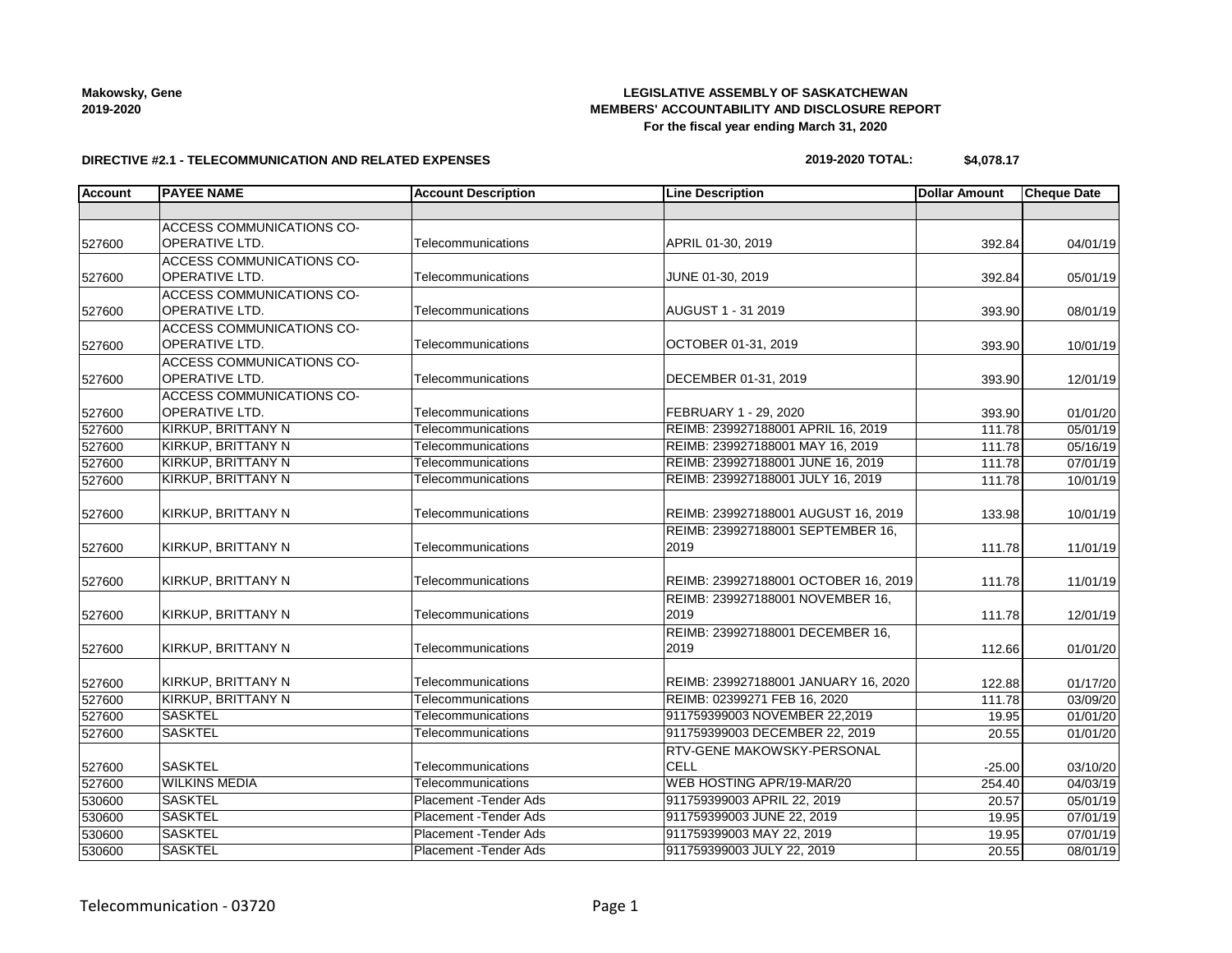| <b>Makowsky, Gene</b> |
|-----------------------|
| 2019-2020             |
|                       |

## **LEGISLATIVE ASSEMBLY OF SASKATCHEWAN MEMBERS' ACCOUNTABILITY AND DISCLOSURE REPORT For the fiscal year ending March 31, 2020**

### **DIRECTIVE #2.1 - TELECOMMUNICATION AND RELATED EXPENSES**

Telecommunication - 03720 Page 1

**2019-2020 TOTAL: \$4,078.17**

| <b>Account</b> | <b>PAYEE NAME</b>                | <b>Account Description</b>    | <b>Line Description</b>              | <b>Dollar Amount</b> | <b>Cheque Date</b> |
|----------------|----------------------------------|-------------------------------|--------------------------------------|----------------------|--------------------|
|                |                                  |                               |                                      |                      |                    |
|                | <b>ACCESS COMMUNICATIONS CO-</b> |                               |                                      |                      |                    |
| 527600         | <b>OPERATIVE LTD.</b>            | Telecommunications            | APRIL 01-30, 2019                    | 392.84               | 04/01/19           |
|                | <b>ACCESS COMMUNICATIONS CO-</b> |                               |                                      |                      |                    |
| 527600         | <b>OPERATIVE LTD.</b>            | Telecommunications            | JUNE 01-30, 2019                     | 392.84               | 05/01/19           |
|                | ACCESS COMMUNICATIONS CO-        |                               |                                      |                      |                    |
| 527600         | OPERATIVE LTD.                   | Telecommunications            | AUGUST 1 - 31 2019                   | 393.90               | 08/01/19           |
|                | ACCESS COMMUNICATIONS CO-        |                               |                                      |                      |                    |
| 527600         | OPERATIVE LTD.                   | Telecommunications            | OCTOBER 01-31, 2019                  | 393.90               | 10/01/19           |
|                | ACCESS COMMUNICATIONS CO-        |                               |                                      |                      |                    |
| 527600         | <b>OPERATIVE LTD.</b>            | Telecommunications            | DECEMBER 01-31, 2019                 | 393.90               | 12/01/19           |
|                | ACCESS COMMUNICATIONS CO-        |                               |                                      |                      |                    |
| 527600         | OPERATIVE LTD.                   | Telecommunications            | FEBRUARY 1 - 29, 2020                | 393.90               | 01/01/20           |
| 527600         | KIRKUP, BRITTANY N               | Telecommunications            | REIMB: 239927188001 APRIL 16, 2019   | 111.78               | 05/01/19           |
| 527600         | KIRKUP, BRITTANY N               | Telecommunications            | REIMB: 239927188001 MAY 16, 2019     | 111.78               | 05/16/19           |
| 527600         | <b>KIRKUP, BRITTANY N</b>        | Telecommunications            | REIMB: 239927188001 JUNE 16, 2019    | 111.78               | 07/01/19           |
| 527600         | <b>KIRKUP, BRITTANY N</b>        | Telecommunications            | REIMB: 239927188001 JULY 16, 2019    | 111.78               | 10/01/19           |
|                |                                  |                               |                                      |                      |                    |
| 527600         | KIRKUP, BRITTANY N               | Telecommunications            | REIMB: 239927188001 AUGUST 16, 2019  | 133.98               | 10/01/19           |
|                |                                  |                               | REIMB: 239927188001 SEPTEMBER 16,    |                      |                    |
| 527600         | KIRKUP, BRITTANY N               | Telecommunications            | 2019                                 | 111.78               | 11/01/19           |
|                |                                  |                               |                                      |                      |                    |
| 527600         | KIRKUP, BRITTANY N               | Telecommunications            | REIMB: 239927188001 OCTOBER 16, 2019 | 111.78               | 11/01/19           |
|                |                                  |                               | REIMB: 239927188001 NOVEMBER 16,     |                      |                    |
| 527600         | KIRKUP, BRITTANY N               | Telecommunications            | 2019                                 | 111.78               | 12/01/19           |
|                |                                  |                               | REIMB: 239927188001 DECEMBER 16,     |                      |                    |
| 527600         | KIRKUP, BRITTANY N               | Telecommunications            | 2019                                 | 112.66               | 01/01/20           |
|                |                                  |                               |                                      |                      |                    |
| 527600         | KIRKUP, BRITTANY N               | Telecommunications            | REIMB: 239927188001 JANUARY 16, 2020 | 122.88               | 01/17/20           |
| 527600         | KIRKUP, BRITTANY N               | Telecommunications            | REIMB: 02399271 FEB 16, 2020         | 111.78               | 03/09/20           |
| 527600         | <b>SASKTEL</b>                   | Telecommunications            | 911759399003 NOVEMBER 22,2019        | 19.95                | 01/01/20           |
| 527600         | <b>SASKTEL</b>                   | Telecommunications            | 911759399003 DECEMBER 22, 2019       | 20.55                | 01/01/20           |
|                |                                  |                               | <b>RTV-GENE MAKOWSKY-PERSONAL</b>    |                      |                    |
| 527600         | <b>SASKTEL</b>                   | Telecommunications            | <b>CELL</b>                          | $-25.00$             | 03/10/20           |
| 527600         | <b>WILKINS MEDIA</b>             | Telecommunications            | WEB HOSTING APR/19-MAR/20            | 254.40               | 04/03/19           |
| 530600         | <b>SASKTEL</b>                   | Placement - Tender Ads        | 911759399003 APRIL 22, 2019          | 20.57                | 05/01/19           |
| 530600         | <b>SASKTEL</b>                   | <b>Placement - Tender Ads</b> | 911759399003 JUNE 22, 2019           | 19.95                | 07/01/19           |
| 530600         | <b>SASKTEL</b>                   | <b>Placement - Tender Ads</b> | 911759399003 MAY 22, 2019            | 19.95                | 07/01/19           |
| 530600         | <b>SASKTEL</b>                   | Placement - Tender Ads        | 911759399003 JULY 22, 2019           | 20.55                | 08/01/19           |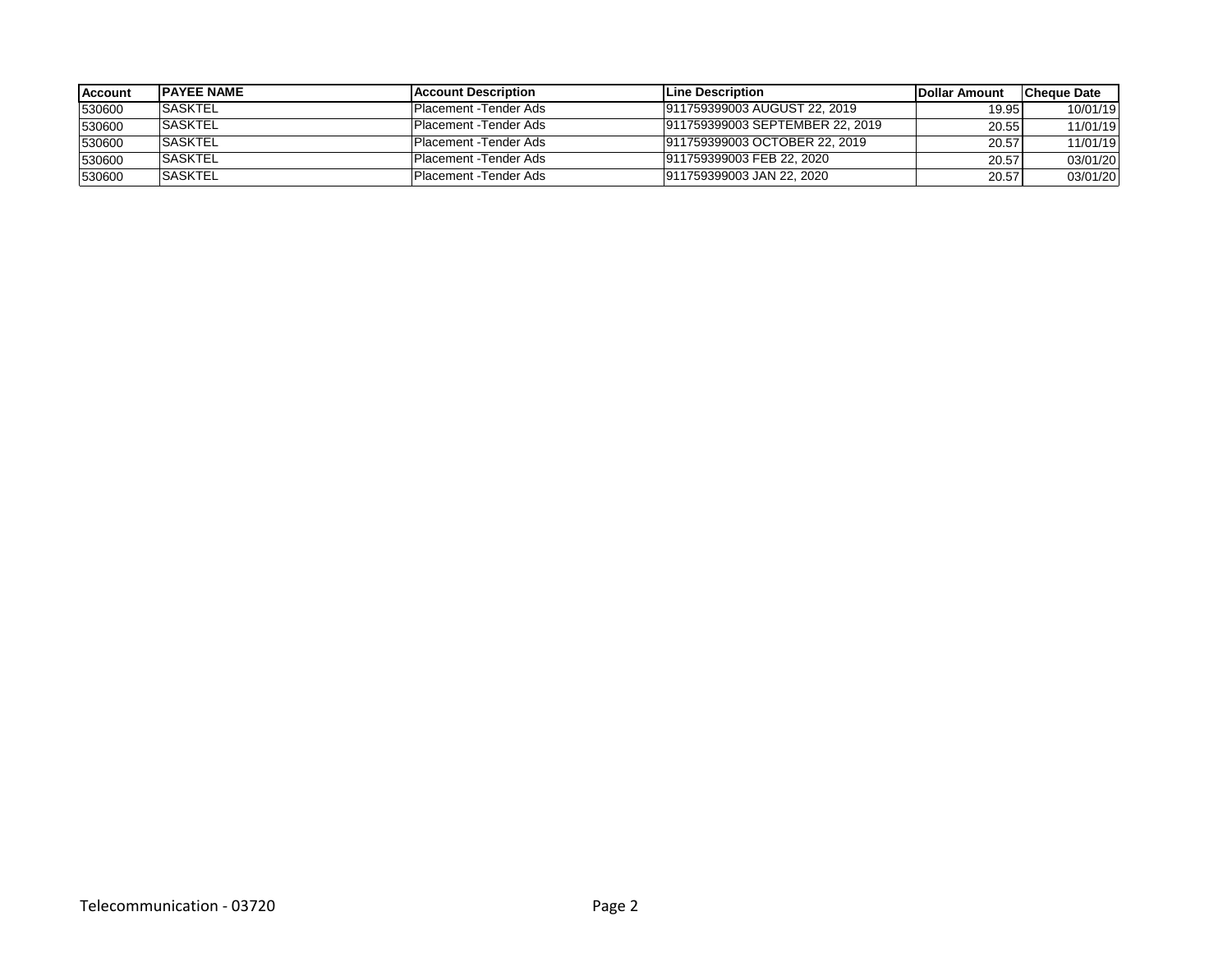| <b>Account</b> | <b>IPAYEE NAME</b> | <b>IAccount Description</b> | <b>ILine Description</b>        | <b>IDollar Amount</b> | <b>ICheque Date</b> |
|----------------|--------------------|-----------------------------|---------------------------------|-----------------------|---------------------|
| 530600         | <b>ISASKTEL</b>    | IPlacement -Tender Ads      | 911759399003 AUGUST 22, 2019    | 19.95                 | 10/01/19            |
| 530600         | <b>SASKTEL</b>     | IPlacement -Tender Ads      | 911759399003 SEPTEMBER 22, 2019 | 20.55                 | 11/01/19            |
| 530600         | <b>SASKTEL</b>     | IPlacement -Tender Ads      | 1911759399003 OCTOBER 22, 2019  | 20.57                 | 11/01/19            |
| 530600         | <b>ISASKTEL</b>    | IPlacement -Tender Ads      | 911759399003 FEB 22, 2020       | 20.57                 | 03/01/20            |
| 530600         | <b>ISASKTEL</b>    | IPlacement -Tender Ads      | 911759399003 JAN 22, 2020       | 20.57                 | 03/01/20            |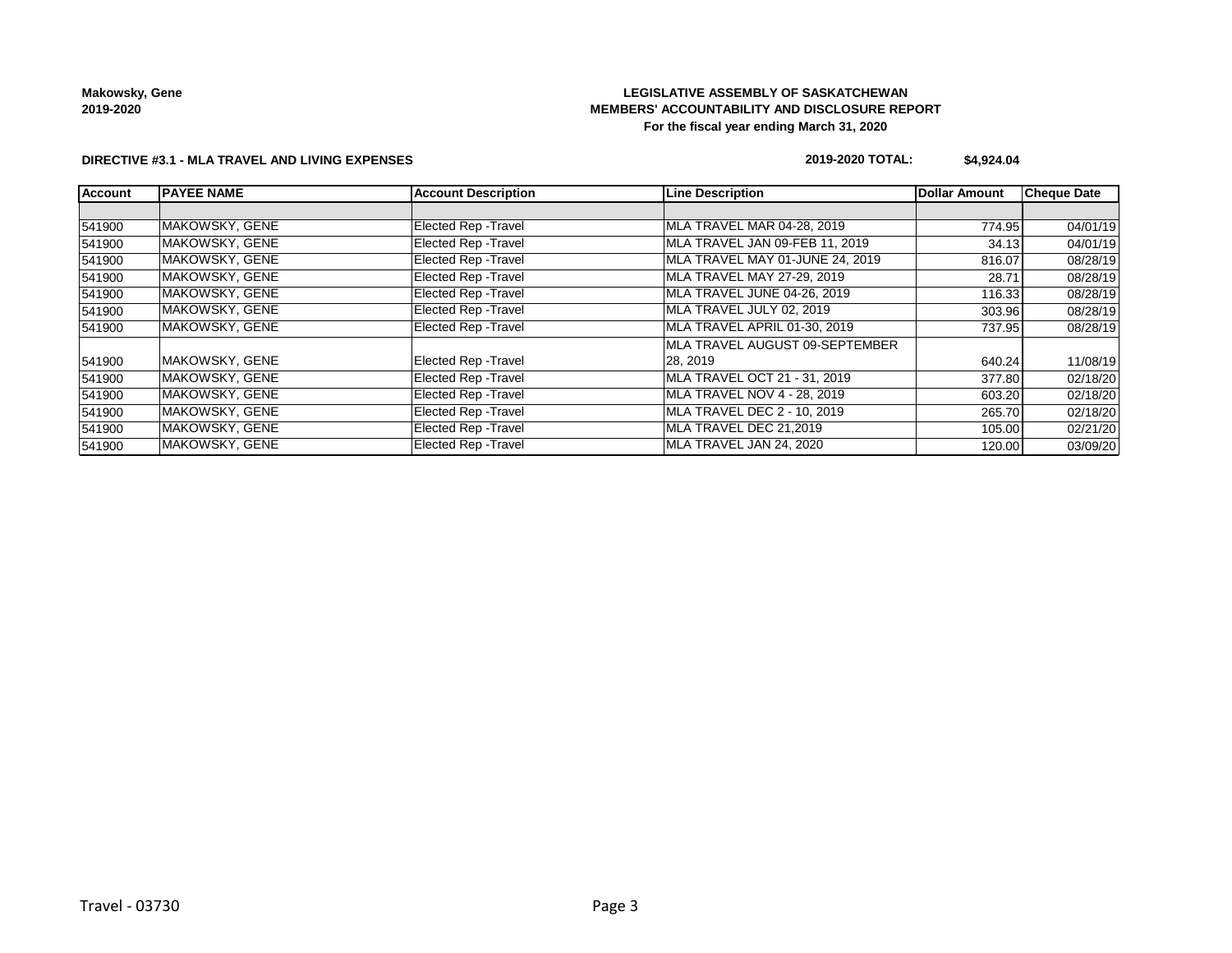**Makowsky, Gene 2019-2020**

## **LEGISLATIVE ASSEMBLY OF SASKATCHEWAN MEMBERS' ACCOUNTABILITY AND DISCLOSURE REPORT For the fiscal year ending March 31, 2020**

#### **DIRECTIVE #3.1 - MLA TRAVEL AND LIVING EXPENSES**

## **2019-2020 TOTAL: \$4,924.04**

| <b>Account</b> | <b>PAYEE NAME</b>     | <b>Account Description</b>  | <b>Line Description</b>            | <b>Dollar Amount</b> | <b>Cheque Date</b> |
|----------------|-----------------------|-----------------------------|------------------------------------|----------------------|--------------------|
|                |                       |                             |                                    |                      |                    |
| 541900         | MAKOWSKY, GENE        | Elected Rep - Travel        | MLA TRAVEL MAR 04-28, 2019         | 774.95               | 04/01/19           |
| 541900         | MAKOWSKY, GENE        | <b>Elected Rep - Travel</b> | MLA TRAVEL JAN 09-FEB 11, 2019     | 34.13                | 04/01/19           |
| 541900         | MAKOWSKY, GENE        | <b>Elected Rep - Travel</b> | MLA TRAVEL MAY 01-JUNE 24. 2019    | 816.07               | 08/28/19           |
| 541900         | MAKOWSKY, GENE        | Elected Rep - Travel        | MLA TRAVEL MAY 27-29, 2019         | 28.71                | 08/28/19           |
| 541900         | MAKOWSKY, GENE        | <b>Elected Rep - Travel</b> | MLA TRAVEL JUNE 04-26, 2019        | 116.33               | 08/28/19           |
| 541900         | MAKOWSKY, GENE        | <b>Elected Rep - Travel</b> | MLA TRAVEL JULY 02, 2019           | 303.96               | 08/28/19           |
| 541900         | MAKOWSKY, GENE        | <b>Elected Rep - Travel</b> | MLA TRAVEL APRIL 01-30, 2019       | 737.95               | 08/28/19           |
|                |                       |                             | MLA TRAVEL AUGUST 09-SEPTEMBER     |                      |                    |
| 541900         | MAKOWSKY, GENE        | Elected Rep - Travel        | 28, 2019                           | 640.24               | 11/08/19           |
| 541900         | MAKOWSKY, GENE        | Elected Rep - Travel        | MLA TRAVEL OCT 21 - 31, 2019       | 377.80               | 02/18/20           |
| 541900         | MAKOWSKY, GENE        | Elected Rep - Travel        | MLA TRAVEL NOV 4 - 28, 2019        | 603.20               | 02/18/20           |
| 541900         | MAKOWSKY, GENE        | Elected Rep - Travel        | <b>MLA TRAVEL DEC 2 - 10, 2019</b> | 265.70               | 02/18/20           |
| 541900         | MAKOWSKY, GENE        | Elected Rep - Travel        | MLA TRAVEL DEC 21,2019             | 105.00               | 02/21/20           |
| 541900         | <b>MAKOWSKY, GENE</b> | <b>Elected Rep - Travel</b> | MLA TRAVEL JAN 24, 2020            | 120.00               | 03/09/20           |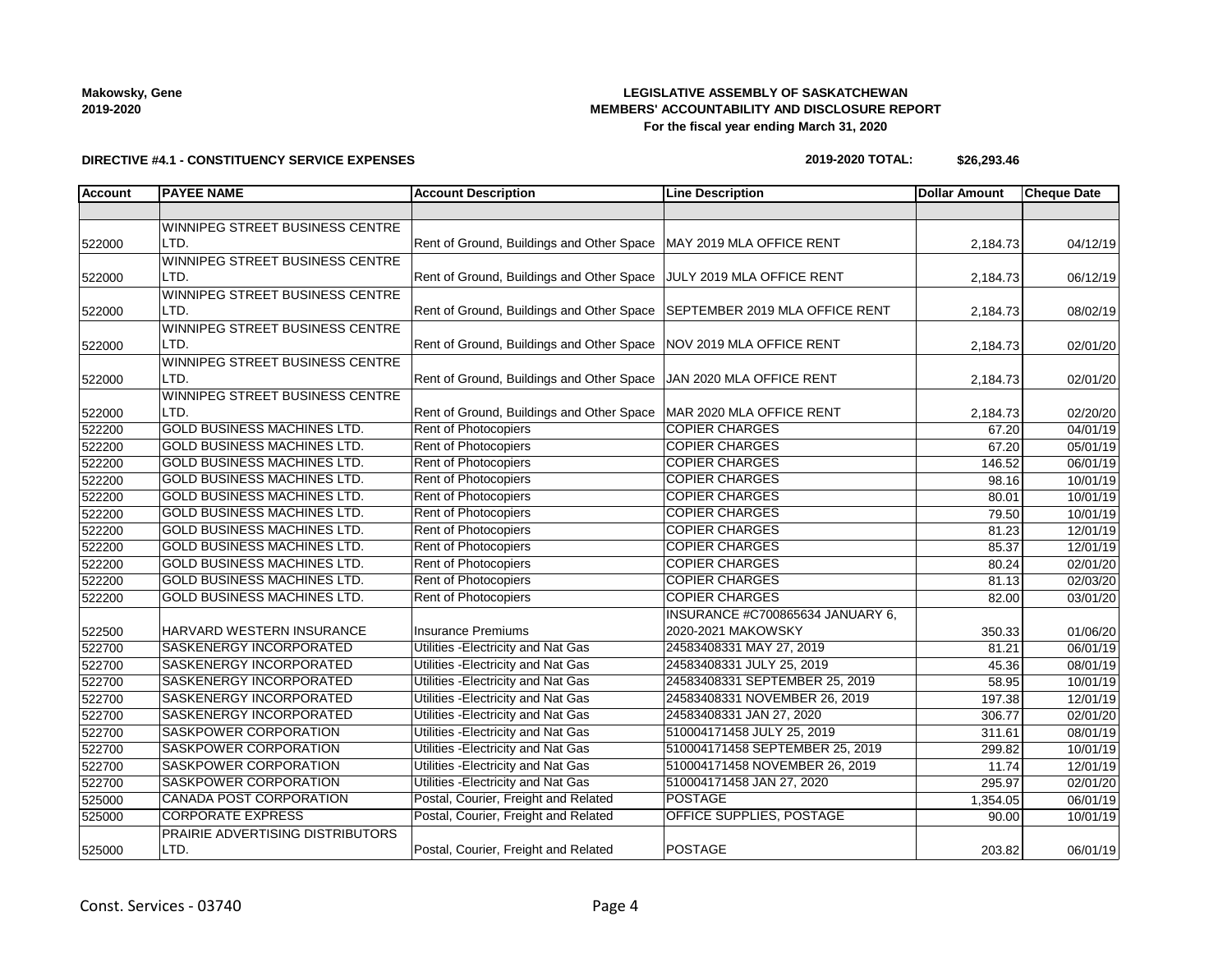#### **Makowsky, Gene 2019-2020**

## **LEGISLATIVE ASSEMBLY OF SASKATCHEWAN MEMBERS' ACCOUNTABILITY AND DISCLOSURE REPORT For the fiscal year ending March 31, 2020**

## **DIRECTIVE #4.1 - CONSTITUENCY SERVICE EXPENSES**

#### **2019-2020 TOTAL: \$26,293.46**

| <b>Account</b> | <b>PAYEE NAME</b>                  | <b>Account Description</b>                | <b>Line Description</b>          | <b>Dollar Amount</b> | <b>Cheque Date</b> |
|----------------|------------------------------------|-------------------------------------------|----------------------------------|----------------------|--------------------|
|                |                                    |                                           |                                  |                      |                    |
|                | WINNIPEG STREET BUSINESS CENTRE    |                                           |                                  |                      |                    |
| 522000         | LTD.                               | Rent of Ground, Buildings and Other Space | MAY 2019 MLA OFFICE RENT         | 2,184.73             | 04/12/19           |
|                | WINNIPEG STREET BUSINESS CENTRE    |                                           |                                  |                      |                    |
| 522000         | LTD.                               | Rent of Ground, Buildings and Other Space | JULY 2019 MLA OFFICE RENT        | 2,184.73             | 06/12/19           |
|                | WINNIPEG STREET BUSINESS CENTRE    |                                           |                                  |                      |                    |
| 522000         | LTD.                               | Rent of Ground, Buildings and Other Space | SEPTEMBER 2019 MLA OFFICE RENT   | 2,184.73             | 08/02/19           |
|                | WINNIPEG STREET BUSINESS CENTRE    |                                           |                                  |                      |                    |
| 522000         | LTD.                               | Rent of Ground, Buildings and Other Space | NOV 2019 MLA OFFICE RENT         | 2,184.73             | 02/01/20           |
|                | WINNIPEG STREET BUSINESS CENTRE    |                                           |                                  |                      |                    |
| 522000         | LTD.                               | Rent of Ground, Buildings and Other Space | JAN 2020 MLA OFFICE RENT         | 2,184.73             | 02/01/20           |
|                | WINNIPEG STREET BUSINESS CENTRE    |                                           |                                  |                      |                    |
| 522000         | LTD.                               | Rent of Ground, Buildings and Other Space | MAR 2020 MLA OFFICE RENT         | 2,184.73             | 02/20/20           |
| 522200         | <b>GOLD BUSINESS MACHINES LTD.</b> | <b>Rent of Photocopiers</b>               | <b>COPIER CHARGES</b>            | 67.20                | 04/01/19           |
| 522200         | <b>GOLD BUSINESS MACHINES LTD.</b> | <b>Rent of Photocopiers</b>               | <b>COPIER CHARGES</b>            | 67.20                | 05/01/19           |
| 522200         | <b>GOLD BUSINESS MACHINES LTD.</b> | Rent of Photocopiers                      | <b>COPIER CHARGES</b>            | 146.52               | 06/01/19           |
| 522200         | <b>GOLD BUSINESS MACHINES LTD.</b> | Rent of Photocopiers                      | <b>COPIER CHARGES</b>            | 98.16                | 10/01/19           |
| 522200         | <b>GOLD BUSINESS MACHINES LTD.</b> | Rent of Photocopiers                      | <b>COPIER CHARGES</b>            | 80.01                | 10/01/19           |
| 522200         | <b>GOLD BUSINESS MACHINES LTD.</b> | Rent of Photocopiers                      | <b>COPIER CHARGES</b>            | 79.50                | 10/01/19           |
| 522200         | <b>GOLD BUSINESS MACHINES LTD.</b> | Rent of Photocopiers                      | <b>COPIER CHARGES</b>            | 81.23                | 12/01/19           |
| 522200         | <b>GOLD BUSINESS MACHINES LTD.</b> | <b>Rent of Photocopiers</b>               | <b>COPIER CHARGES</b>            | 85.37                | 12/01/19           |
| 522200         | <b>GOLD BUSINESS MACHINES LTD.</b> | <b>Rent of Photocopiers</b>               | <b>COPIER CHARGES</b>            | 80.24                | 02/01/20           |
| 522200         | <b>GOLD BUSINESS MACHINES LTD.</b> | Rent of Photocopiers                      | <b>COPIER CHARGES</b>            | 81.13                | 02/03/20           |
| 522200         | <b>GOLD BUSINESS MACHINES LTD.</b> | Rent of Photocopiers                      | <b>COPIER CHARGES</b>            | 82.00                | 03/01/20           |
|                |                                    |                                           | INSURANCE #C700865634 JANUARY 6, |                      |                    |
| 522500         | HARVARD WESTERN INSURANCE          | Insurance Premiums                        | 2020-2021 MAKOWSKY               | 350.33               | 01/06/20           |
| 522700         | SASKENERGY INCORPORATED            | Utilities - Electricity and Nat Gas       | 24583408331 MAY 27, 2019         | 81.21                | 06/01/19           |
| 522700         | SASKENERGY INCORPORATED            | Utilities - Electricity and Nat Gas       | 24583408331 JULY 25, 2019        | 45.36                | 08/01/19           |
| 522700         | SASKENERGY INCORPORATED            | Utilities - Electricity and Nat Gas       | 24583408331 SEPTEMBER 25, 2019   | 58.95                | 10/01/19           |
| 522700         | SASKENERGY INCORPORATED            | Utilities - Electricity and Nat Gas       | 24583408331 NOVEMBER 26, 2019    | 197.38               | 12/01/19           |
| 522700         | SASKENERGY INCORPORATED            | Utilities - Electricity and Nat Gas       | 24583408331 JAN 27, 2020         | 306.77               | 02/01/20           |
| 522700         | SASKPOWER CORPORATION              | Utilities - Electricity and Nat Gas       | 510004171458 JULY 25, 2019       | 311.61               | 08/01/19           |
| 522700         | SASKPOWER CORPORATION              | Utilities - Electricity and Nat Gas       | 510004171458 SEPTEMBER 25, 2019  | 299.82               | 10/01/19           |
| 522700         | SASKPOWER CORPORATION              | Utilities - Electricity and Nat Gas       | 510004171458 NOVEMBER 26, 2019   | 11.74                | 12/01/19           |
| 522700         | SASKPOWER CORPORATION              | Utilities - Electricity and Nat Gas       | 510004171458 JAN 27, 2020        | 295.97               | 02/01/20           |
| 525000         | CANADA POST CORPORATION            | Postal, Courier, Freight and Related      | <b>POSTAGE</b>                   | 1,354.05             | 06/01/19           |
| 525000         | <b>CORPORATE EXPRESS</b>           | Postal, Courier, Freight and Related      | OFFICE SUPPLIES, POSTAGE         | 90.00                | 10/01/19           |
|                | PRAIRIE ADVERTISING DISTRIBUTORS   |                                           |                                  |                      |                    |
| 525000         | LTD.                               | Postal, Courier, Freight and Related      | <b>POSTAGE</b>                   | 203.82               | 06/01/19           |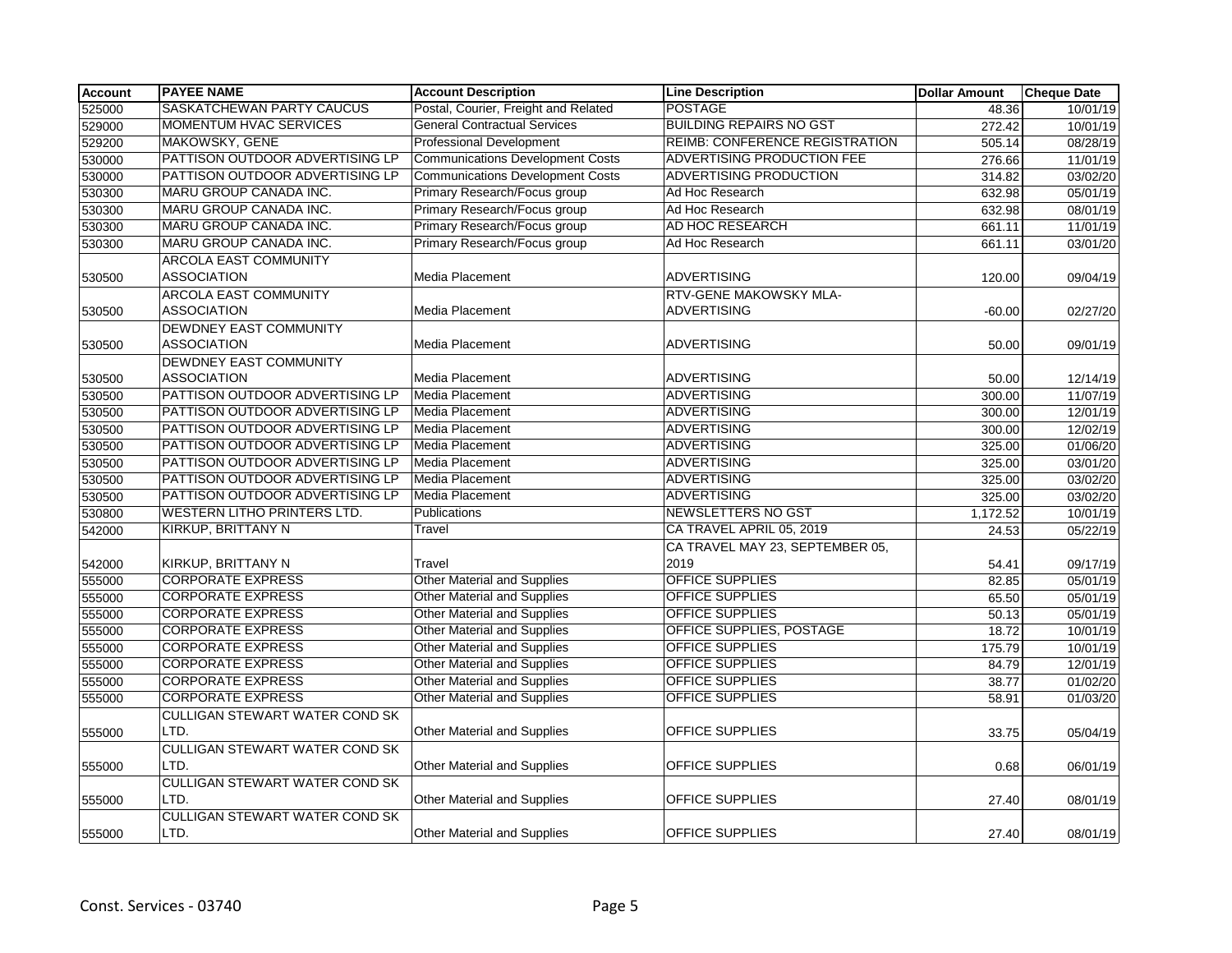| <b>Account</b> | <b>PAYEE NAME</b>                     | <b>Account Description</b>              | <b>Line Description</b>               | <b>Dollar Amount</b> | <b>Cheque Date</b> |
|----------------|---------------------------------------|-----------------------------------------|---------------------------------------|----------------------|--------------------|
| 525000         | <b>SASKATCHEWAN PARTY CAUCUS</b>      | Postal, Courier, Freight and Related    | <b>POSTAGE</b>                        | 48.36                | 10/01/19           |
| 529000         | <b>MOMENTUM HVAC SERVICES</b>         | <b>General Contractual Services</b>     | <b>BUILDING REPAIRS NO GST</b>        | 272.42               | 10/01/19           |
| 529200         | MAKOWSKY, GENE                        | <b>Professional Development</b>         | <b>REIMB: CONFERENCE REGISTRATION</b> | 505.14               | 08/28/19           |
| 530000         | PATTISON OUTDOOR ADVERTISING LP       | <b>Communications Development Costs</b> | ADVERTISING PRODUCTION FEE            | 276.66               | 11/01/19           |
| 530000         | PATTISON OUTDOOR ADVERTISING LP       | <b>Communications Development Costs</b> | <b>ADVERTISING PRODUCTION</b>         | 314.82               | 03/02/20           |
| 530300         | MARU GROUP CANADA INC.                | Primary Research/Focus group            | Ad Hoc Research                       | 632.98               | 05/01/19           |
| 530300         | MARU GROUP CANADA INC.                | Primary Research/Focus group            | Ad Hoc Research                       | 632.98               | 08/01/19           |
| 530300         | MARU GROUP CANADA INC.                | Primary Research/Focus group            | <b>AD HOC RESEARCH</b>                | 661.11               | 11/01/19           |
| 530300         | <b>MARU GROUP CANADA INC.</b>         | Primary Research/Focus group            | Ad Hoc Research                       | 661.11               | 03/01/20           |
|                | <b>ARCOLA EAST COMMUNITY</b>          |                                         |                                       |                      |                    |
| 530500         | <b>ASSOCIATION</b>                    | Media Placement                         | <b>ADVERTISING</b>                    | 120.00               | 09/04/19           |
|                | <b>ARCOLA EAST COMMUNITY</b>          |                                         | RTV-GENE MAKOWSKY MLA-                |                      |                    |
| 530500         | ASSOCIATION                           | Media Placement                         | <b>ADVERTISING</b>                    | $-60.00$             | 02/27/20           |
|                | DEWDNEY EAST COMMUNITY                |                                         |                                       |                      |                    |
| 530500         | <b>ASSOCIATION</b>                    | Media Placement                         | <b>ADVERTISING</b>                    | 50.00                | 09/01/19           |
|                | <b>DEWDNEY EAST COMMUNITY</b>         |                                         |                                       |                      |                    |
| 530500         | <b>ASSOCIATION</b>                    | Media Placement                         | <b>ADVERTISING</b>                    | 50.00                | 12/14/19           |
| 530500         | PATTISON OUTDOOR ADVERTISING LP       | <b>Media Placement</b>                  | <b>ADVERTISING</b>                    | 300.00               | 11/07/19           |
| 530500         | PATTISON OUTDOOR ADVERTISING LP       | <b>Media Placement</b>                  | <b>ADVERTISING</b>                    | 300.00               | 12/01/19           |
| 530500         | PATTISON OUTDOOR ADVERTISING LP       | Media Placement                         | <b>ADVERTISING</b>                    | 300.00               | 12/02/19           |
| 530500         | PATTISON OUTDOOR ADVERTISING LP       | Media Placement                         | <b>ADVERTISING</b>                    | 325.00               | 01/06/20           |
| 530500         | PATTISON OUTDOOR ADVERTISING LP       | Media Placement                         | <b>ADVERTISING</b>                    | 325.00               | 03/01/20           |
| 530500         | PATTISON OUTDOOR ADVERTISING LP       | Media Placement                         | <b>ADVERTISING</b>                    | 325.00               | 03/02/20           |
| 530500         | PATTISON OUTDOOR ADVERTISING LP       | Media Placement                         | <b>ADVERTISING</b>                    | 325.00               | 03/02/20           |
| 530800         | <b>WESTERN LITHO PRINTERS LTD.</b>    | Publications                            | <b>NEWSLETTERS NO GST</b>             | 1,172.52             | 10/01/19           |
| 542000         | KIRKUP, BRITTANY N                    | Travel                                  | CA TRAVEL APRIL 05, 2019              | 24.53                | 05/22/19           |
|                |                                       |                                         | CA TRAVEL MAY 23, SEPTEMBER 05,       |                      |                    |
| 542000         | KIRKUP, BRITTANY N                    | Travel                                  | 2019                                  | 54.41                | 09/17/19           |
| 555000         | <b>CORPORATE EXPRESS</b>              | <b>Other Material and Supplies</b>      | <b>OFFICE SUPPLIES</b>                | 82.85                | 05/01/19           |
| 555000         | <b>CORPORATE EXPRESS</b>              | Other Material and Supplies             | <b>OFFICE SUPPLIES</b>                | 65.50                | 05/01/19           |
| 555000         | <b>CORPORATE EXPRESS</b>              | <b>Other Material and Supplies</b>      | <b>OFFICE SUPPLIES</b>                | 50.13                | 05/01/19           |
| 555000         | <b>CORPORATE EXPRESS</b>              | <b>Other Material and Supplies</b>      | OFFICE SUPPLIES, POSTAGE              | 18.72                | 10/01/19           |
| 555000         | <b>CORPORATE EXPRESS</b>              | Other Material and Supplies             | OFFICE SUPPLIES                       | 175.79               | 10/01/19           |
| 555000         | <b>CORPORATE EXPRESS</b>              | <b>Other Material and Supplies</b>      | <b>OFFICE SUPPLIES</b>                | 84.79                | 12/01/19           |
| 555000         | <b>CORPORATE EXPRESS</b>              | Other Material and Supplies             | <b>OFFICE SUPPLIES</b>                | 38.77                | 01/02/20           |
| 555000         | <b>CORPORATE EXPRESS</b>              | <b>Other Material and Supplies</b>      | <b>OFFICE SUPPLIES</b>                | 58.91                | 01/03/20           |
|                | <b>CULLIGAN STEWART WATER COND SK</b> |                                         |                                       |                      |                    |
| 555000         | LTD.                                  | Other Material and Supplies             | OFFICE SUPPLIES                       | 33.75                | 05/04/19           |
|                | <b>CULLIGAN STEWART WATER COND SK</b> |                                         |                                       |                      |                    |
| 555000         | LTD.                                  | Other Material and Supplies             | <b>OFFICE SUPPLIES</b>                | 0.68                 | 06/01/19           |
|                | <b>CULLIGAN STEWART WATER COND SK</b> |                                         |                                       |                      |                    |
| 555000         | LTD.                                  | <b>Other Material and Supplies</b>      | <b>OFFICE SUPPLIES</b>                | 27.40                | 08/01/19           |
|                | <b>CULLIGAN STEWART WATER COND SK</b> |                                         |                                       |                      |                    |
| 555000         | LTD.                                  | <b>Other Material and Supplies</b>      | <b>OFFICE SUPPLIES</b>                | 27.40                | 08/01/19           |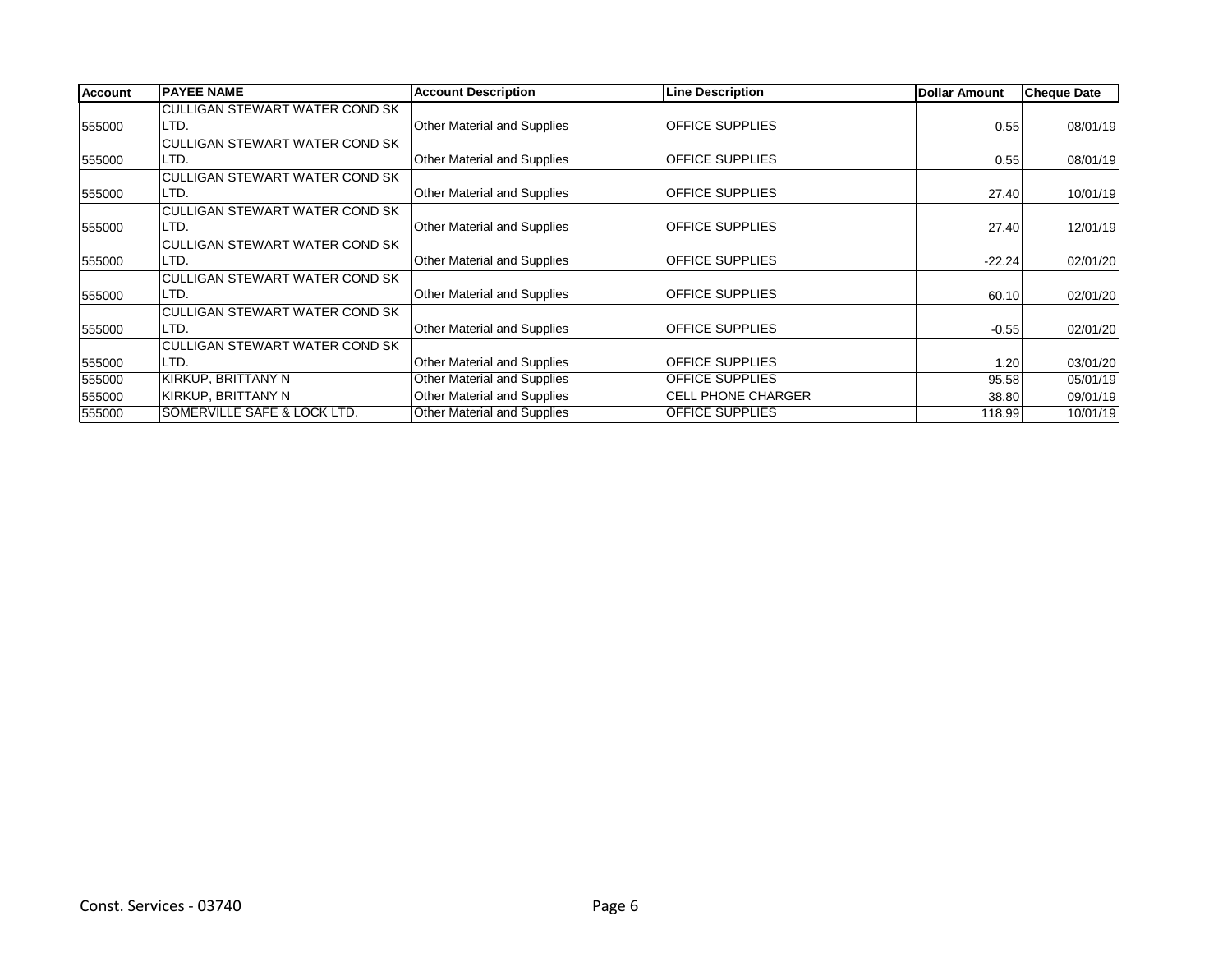| <b>Account</b> | <b>PAYEE NAME</b>                     | <b>Account Description</b>  | <b>Line Description</b>   | <b>Dollar Amount</b> | <b>Cheque Date</b> |
|----------------|---------------------------------------|-----------------------------|---------------------------|----------------------|--------------------|
|                | <b>CULLIGAN STEWART WATER COND SK</b> |                             |                           |                      |                    |
| 555000         | ILTD.                                 | Other Material and Supplies | <b>IOFFICE SUPPLIES</b>   | 0.55                 | 08/01/19           |
|                | <b>CULLIGAN STEWART WATER COND SK</b> |                             |                           |                      |                    |
| 555000         | ILTD.                                 | Other Material and Supplies | <b>OFFICE SUPPLIES</b>    | 0.55                 | 08/01/19           |
|                | <b>CULLIGAN STEWART WATER COND SK</b> |                             |                           |                      |                    |
| 555000         | LTD.                                  | Other Material and Supplies | <b>OFFICE SUPPLIES</b>    | 27.40                | 10/01/19           |
|                | <b>CULLIGAN STEWART WATER COND SK</b> |                             |                           |                      |                    |
| 555000         | ILTD.                                 | Other Material and Supplies | <b>IOFFICE SUPPLIES</b>   | 27.40                | 12/01/19           |
|                | CULLIGAN STEWART WATER COND SK        |                             |                           |                      |                    |
| 555000         | LTD.                                  | Other Material and Supplies | <b>OFFICE SUPPLIES</b>    | $-22.24$             | 02/01/20           |
|                | CULLIGAN STEWART WATER COND SK        |                             |                           |                      |                    |
| 555000         | LTD.                                  | Other Material and Supplies | <b>OFFICE SUPPLIES</b>    | 60.10                | 02/01/20           |
|                | <b>CULLIGAN STEWART WATER COND SK</b> |                             |                           |                      |                    |
| 555000         | ILTD.                                 | Other Material and Supplies | <b>IOFFICE SUPPLIES</b>   | $-0.55$              | 02/01/20           |
|                | <b>CULLIGAN STEWART WATER COND SK</b> |                             |                           |                      |                    |
| 555000         | LTD.                                  | Other Material and Supplies | <b>OFFICE SUPPLIES</b>    | 1.20                 | 03/01/20           |
| 555000         | KIRKUP, BRITTANY N                    | Other Material and Supplies | <b>OFFICE SUPPLIES</b>    | 95.58                | 05/01/19           |
| 555000         | KIRKUP, BRITTANY N                    | Other Material and Supplies | <b>CELL PHONE CHARGER</b> | 38.80                | 09/01/19           |
| 555000         | SOMERVILLE SAFE & LOCK LTD.           | Other Material and Supplies | <b>OFFICE SUPPLIES</b>    | 118.99               | 10/01/19           |